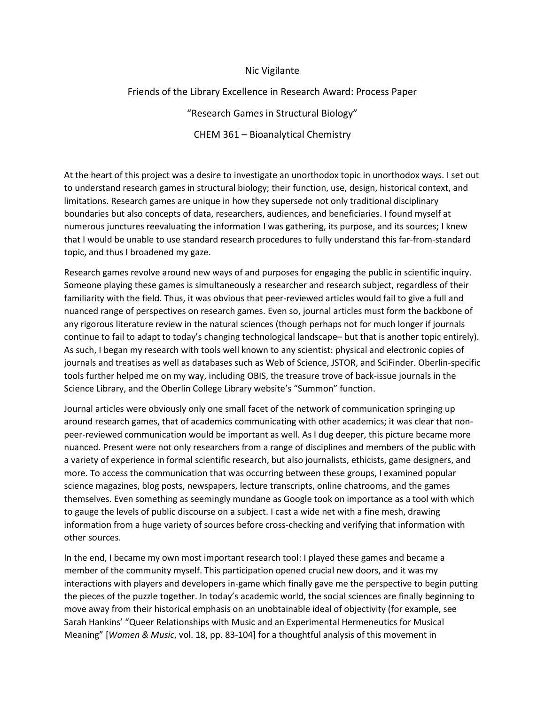## Nic Vigilante

## Friends of the Library Excellence in Research Award: Process Paper

"Research Games in Structural Biology" CHEM 361 – Bioanalytical Chemistry

At the heart of this project was a desire to investigate an unorthodox topic in unorthodox ways. I set out to understand research games in structural biology; their function, use, design, historical context, and limitations. Research games are unique in how they supersede not only traditional disciplinary boundaries but also concepts of data, researchers, audiences, and beneficiaries. I found myself at numerous junctures reevaluating the information I was gathering, its purpose, and its sources; I knew that I would be unable to use standard research procedures to fully understand this far-from-standard topic, and thus I broadened my gaze.

Research games revolve around new ways of and purposes for engaging the public in scientific inquiry. Someone playing these games is simultaneously a researcher and research subject, regardless of their familiarity with the field. Thus, it was obvious that peer-reviewed articles would fail to give a full and nuanced range of perspectives on research games. Even so, journal articles must form the backbone of any rigorous literature review in the natural sciences (though perhaps not for much longer if journals continue to fail to adapt to today's changing technological landscape– but that is another topic entirely). As such, I began my research with tools well known to any scientist: physical and electronic copies of journals and treatises as well as databases such as Web of Science, JSTOR, and SciFinder. Oberlin-specific tools further helped me on my way, including OBIS, the treasure trove of back-issue journals in the Science Library, and the Oberlin College Library website's "Summon" function.

Journal articles were obviously only one small facet of the network of communication springing up around research games, that of academics communicating with other academics; it was clear that nonpeer-reviewed communication would be important as well. As I dug deeper, this picture became more nuanced. Present were not only researchers from a range of disciplines and members of the public with a variety of experience in formal scientific research, but also journalists, ethicists, game designers, and more. To access the communication that was occurring between these groups, I examined popular science magazines, blog posts, newspapers, lecture transcripts, online chatrooms, and the games themselves. Even something as seemingly mundane as Google took on importance as a tool with which to gauge the levels of public discourse on a subject. I cast a wide net with a fine mesh, drawing information from a huge variety of sources before cross-checking and verifying that information with other sources.

In the end, I became my own most important research tool: I played these games and became a member of the community myself. This participation opened crucial new doors, and it was my interactions with players and developers in-game which finally gave me the perspective to begin putting the pieces of the puzzle together. In today's academic world, the social sciences are finally beginning to move away from their historical emphasis on an unobtainable ideal of objectivity (for example, see Sarah Hankins' "Queer Relationships with Music and an Experimental Hermeneutics for Musical Meaning" [*Women & Music*, vol. 18, pp. 83-104] for a thoughtful analysis of this movement in